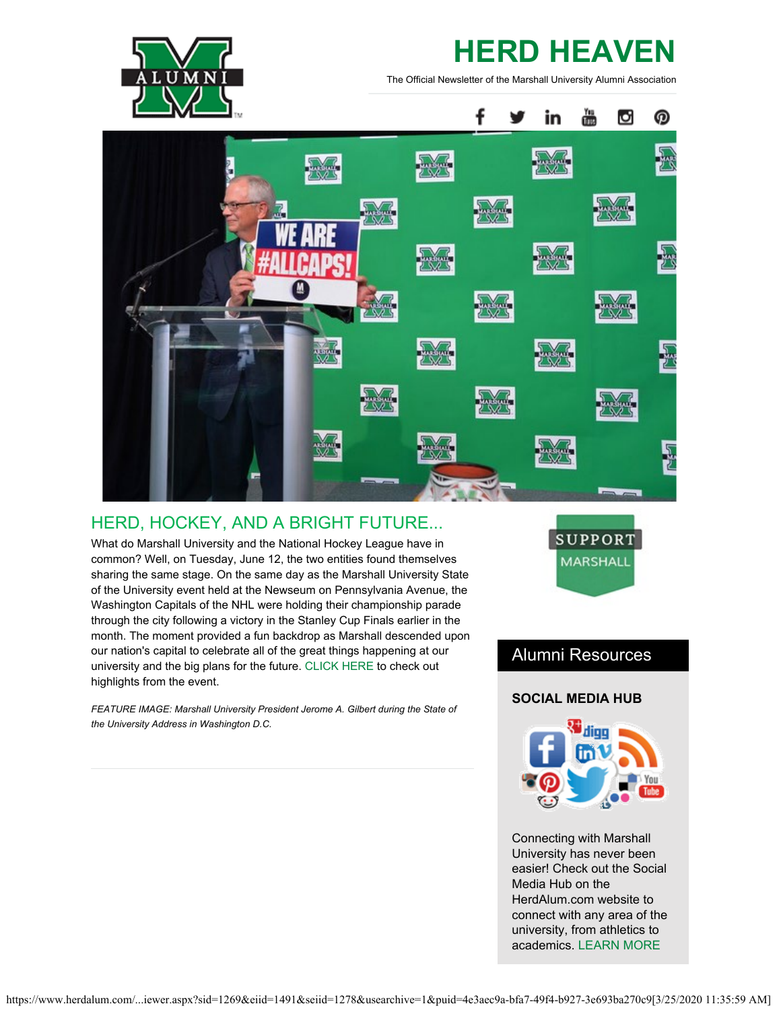

# **HERD HEAVEN**

The Official Newsletter of the Marshall University Alumni Association



# HERD, HOCKEY, AND A BRIGHT FUTURE...

What do Marshall University and the National Hockey League have in common? Well, on Tuesday, June 12, the two entities found themselves sharing the same stage. On the same day as the Marshall University State of the University event held at the Newseum on Pennsylvania Avenue, the Washington Capitals of the NHL were holding their championship parade through the city following a victory in the Stanley Cup Finals earlier in the month. The moment provided a fun backdrop as Marshall descended upon our nation's capital to celebrate all of the great things happening at our university and the big plans for the future. [CLICK HERE](https://www.youtube.com/watch?v=Y2w6pCjij84) to check out highlights from the event.

*FEATURE IMAGE: Marshall University President Jerome A. Gilbert during the State of the University Address in Washington D.C.*



# Alumni Resources

## **SOCIAL MEDIA HUB**



Connecting with Marshall University has never been easier! Check out the Social Media Hub on the HerdAlum.com website to connect with any area of the university, from athletics to academics. [LEARN MORE](https://www.herdalum.com/s/1269/index-social.aspx?sid=1269&gid=1&pgid=743)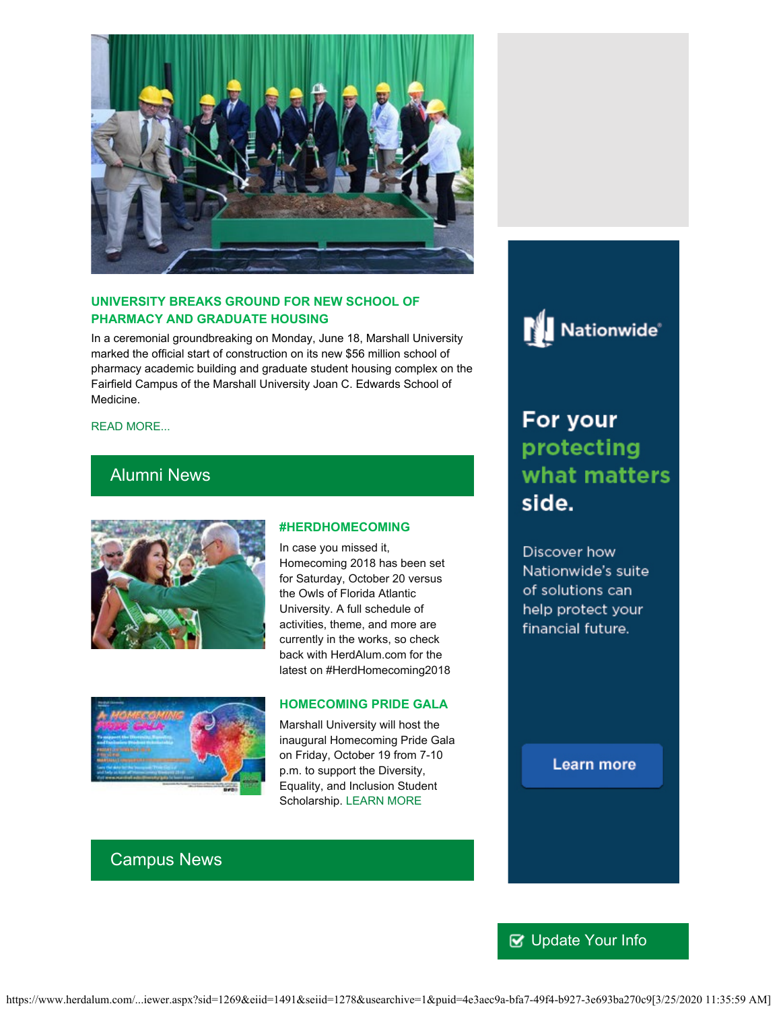

## **UNIVERSITY BREAKS GROUND FOR NEW SCHOOL OF PHARMACY AND GRADUATE HOUSING**

In a ceremonial groundbreaking on Monday, June 18, Marshall University marked the official start of construction on its new \$56 million school of pharmacy academic building and graduate student housing complex on the Fairfield Campus of the Marshall University Joan C. Edwards School of Medicine.

#### [READ MORE...](https://www.marshall.edu/ucomm/2018/06/18/university-breaks-ground-for-new-school-of-pharmacy-and-graduate-housing/)

## Alumni News



#### **#HERDHOMECOMING**

In case you missed it, Homecoming 2018 has been set for Saturday, October 20 versus the Owls of Florida Atlantic University. A full schedule of activities, theme, and more are currently in the works, so check back with HerdAlum.com for the latest on #HerdHomecoming2018



#### **HOMECOMING PRIDE GALA**

Marshall University will host the inaugural Homecoming Pride Gala on Friday, October 19 from 7-10 p.m. to support the Diversity, Equality, and Inclusion Student Scholarship. [LEARN MORE](https://www.marshall.edu/diversity/gala/)



# For your protecting what matters side.

Discover how Nationwide's suite of solutions can help protect your financial future.

**Learn more** 

## Campus News

## ■ [Update Your Info](http://www.herdalum.com/s/1269/index.aspx?sid=1269&gid=1&pgid=6&cid=41#/Search/Simple)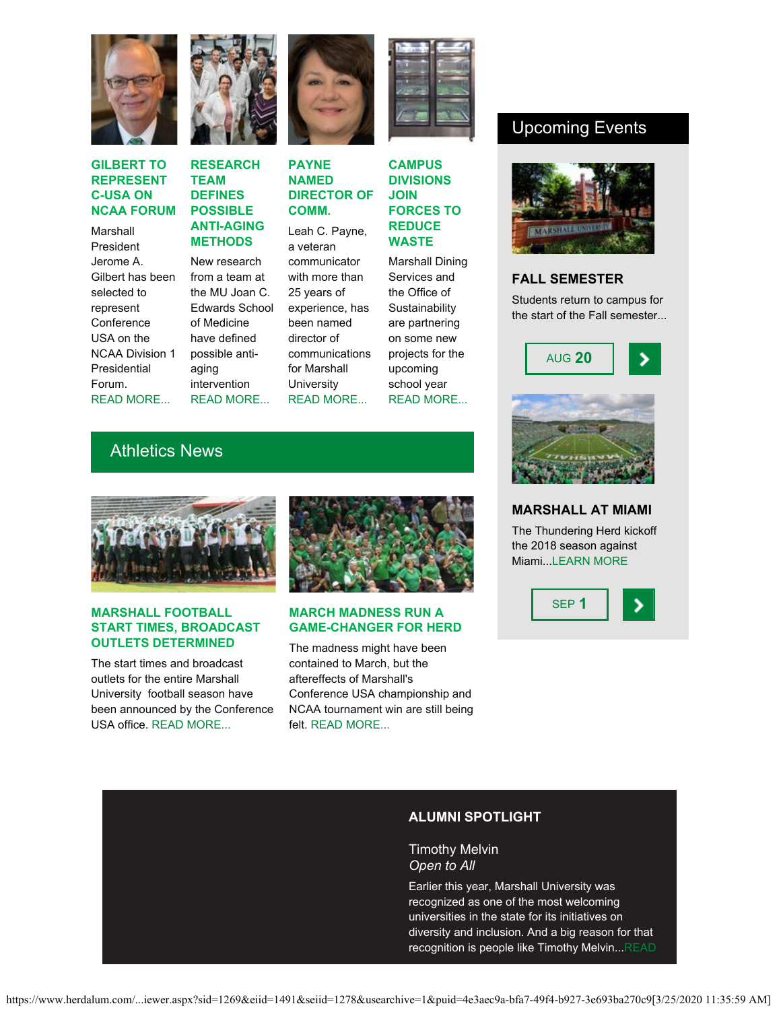

#### **GILBERT TO REPRESENT C-USA ON NCAA FORUM**

Marshall President Jerome A. Gilbert has been selected to represent **Conference** USA on the NCAA Division 1 **Presidential** Forum. [READ MORE...](https://www.marshall.edu/ucomm/2018/06/26/gilbert-to-represent-conference-on-ncaa-division-i-presidential-forum/)



## **RESEARCH TEAM DEFINES POSSIBLE ANTI-AGING METHODS**

New research from a team at the MU Joan C. Edwards School of Medicine have defined possible antiaging intervention [READ MORE...](https://www.marshall.edu/ucomm/2018/06/26/marshall-school-of-medicine-research-team-defines-possible-anti-aging-intervention/)



#### **PAYNE NAMED DIRECTOR OF COMM.**

Leah C. Payne, a veteran communicator with more than 25 years of experience, has been named director of communications for Marshall **University** [READ MORE...](https://www.marshall.edu/ucomm/2018/07/03/payne-named-director-of-communications-at-marshall-university/)



### **CAMPUS DIVISIONS JOIN FORCES TO REDUCE WASTE**

Marshall Dining Services and the Office of **Sustainability** are partnering on some new projects for the upcoming school year [READ MORE...](https://www.marshall.edu/ucomm/2018/06/29/marshall-dining-services-sustainability-department-form-partnership/)

# Upcoming Events



### **FALL SEMESTER**

Students return to campus for the start of the Fall semester...



# **MARSHALL AT MIAMI** The Thundering Herd kickoff

the 2018 season against Miami...[LEARN MORE](http://www.herdzone.com/sports/m-footbl/mars-m-footbl-body.html)



## Athletics News



#### **MARSHALL FOOTBALL START TIMES, BROADCAST OUTLETS DETERMINED**

The start times and broadcast outlets for the entire Marshall University football season have been announced by the Conference USA office. [READ MORE...](http://www.herdzone.com/sports/m-footbl/spec-rel/060718aaa.html)



#### **MARCH MADNESS RUN A GAME-CHANGER FOR HERD**

The madness might have been contained to March, but the aftereffects of Marshall's Conference USA championship and NCAA tournament win are still being felt. [READ MORE...](http://www.herdzone.com/sports/m-baskbl/spec-rel/062118aaa.html)

## **ALUMNI SPOTLIGHT**

Timothy Melvin *Open to All*

Earlier this year, Marshall University was recognized as one of the most welcoming universities in the state for its initiatives on diversity and inclusion. And a big reason for that recognition is people like Timothy Melvin..[.READ](https://www.herdalum.com/s/1269/images/editor_documents/lc/herd_heaven/melvin_interview.pdf)